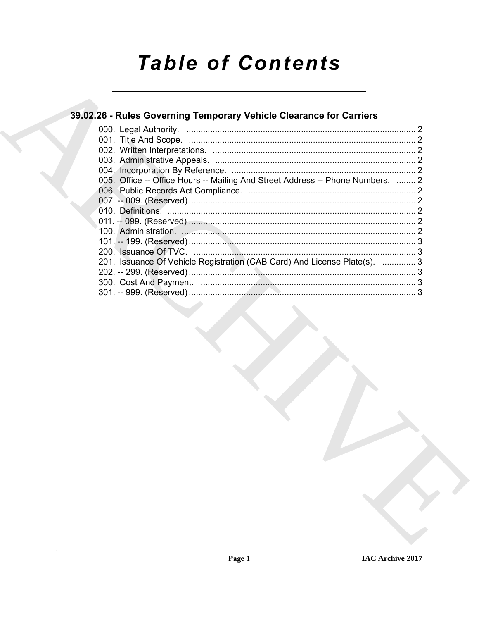# **Table of Contents**

### 39.02.26 - Rules Governing Temporary Vehicle Clearance for Carriers

| 005. Office -- Office Hours -- Mailing And Street Address -- Phone Numbers.  2 |  |
|--------------------------------------------------------------------------------|--|
|                                                                                |  |
|                                                                                |  |
|                                                                                |  |
|                                                                                |  |
|                                                                                |  |
|                                                                                |  |
|                                                                                |  |
| 201. Issuance Of Vehicle Registration (CAB Card) And License Plate(s).  3      |  |
|                                                                                |  |
|                                                                                |  |
|                                                                                |  |
|                                                                                |  |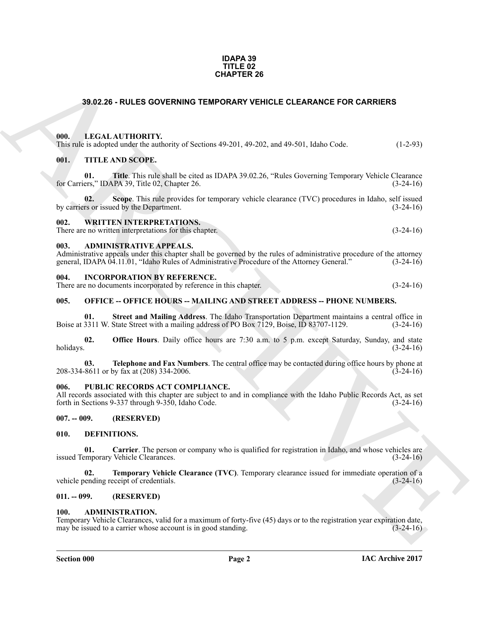#### **IDAPA 39 TITLE 02 CHAPTER 26**

#### <span id="page-1-0"></span>**39.02.26 - RULES GOVERNING TEMPORARY VEHICLE CLEARANCE FOR CARRIERS**

#### <span id="page-1-1"></span>**000. LEGAL AUTHORITY.**

| ---- |                                                                                              |            |
|------|----------------------------------------------------------------------------------------------|------------|
|      | This rule is adopted under the authority of Sections 49-201, 49-202, and 49-501, Idaho Code. | $(1-2-93)$ |

#### <span id="page-1-2"></span>**001. TITLE AND SCOPE.**

**CHAPTER 26**<br> **CHAPTER 26**<br> **CHAL ALTITORITY:**<br> **CHAL ALTITORITY:**<br> **CHAL ALTITORITY:**<br> **CHAL ALTITORITY:**<br> **CHAPTER 26 (200) CHAPTER 26 (200) CHAPTER 26 (200) CHAPTER** (200)<br> **CHAPTER 26 (200) CHAPTER 26 (200) 01. Title**. This rule shall be cited as IDAPA 39.02.26, "Rules Governing Temporary Vehicle Clearance for Carriers," IDAPA 39, Title 02, Chapter 26.

**02.** Scope. This rule provides for temporary vehicle clearance (TVC) procedures in Idaho, self issued by the Department. (3-24-16) by carriers or issued by the Department.

#### <span id="page-1-3"></span>**002. WRITTEN INTERPRETATIONS.**

There are no written interpretations for this chapter. (3-24-16)

#### <span id="page-1-4"></span>**003. ADMINISTRATIVE APPEALS.**

Administrative appeals under this chapter shall be governed by the rules of administrative procedure of the attorney general, IDAPA 04.11.01, "Idaho Rules of Administrative Procedure of the Attorney General." (3-24-16) general, IDAPA 04.11.01, "Idaho Rules of Administrative Procedure of the Attorney General."

#### <span id="page-1-5"></span>**004. INCORPORATION BY REFERENCE.**

There are no documents incorporated by reference in this chapter. (3-24-16)

#### <span id="page-1-6"></span>**005. OFFICE -- OFFICE HOURS -- MAILING AND STREET ADDRESS -- PHONE NUMBERS.**

**01. Street and Mailing Address**. The Idaho Transportation Department maintains a central office in Boise at 3311 W. State Street with a mailing address of PO Box 7129, Boise, ID 83707-1129. (3-24-16)

**02. Office Hours**. Daily office hours are 7:30 a.m. to 5 p.m. except Saturday, Sunday, and state holidays. (3-24-16) holidays. (3-24-16)

**03. Telephone and Fax Numbers**. The central office may be contacted during office hours by phone at 208-334-8611 or by fax at (208) 334-2006. (3-24-16)

#### <span id="page-1-7"></span>**006. PUBLIC RECORDS ACT COMPLIANCE.**

All records associated with this chapter are subject to and in compliance with the Idaho Public Records Act, as set forth in Sections 9-337 through 9-350. Idaho Code. (3-24-16) forth in Sections 9-337 through 9-350, Idaho Code.

#### <span id="page-1-8"></span>**007. -- 009. (RESERVED)**

#### <span id="page-1-13"></span><span id="page-1-9"></span>**010. DEFINITIONS.**

<span id="page-1-14"></span>**01. Carrier**. The person or company who is qualified for registration in Idaho, and whose vehicles are emporary Vehicle Clearances. issued Temporary Vehicle Clearances.

<span id="page-1-15"></span>**02. Temporary Vehicle Clearance (TVC)**. Temporary clearance issued for immediate operation of a ending receipt of credentials. (3-24-16) vehicle pending receipt of credentials.

#### <span id="page-1-10"></span>**011. -- 099. (RESERVED)**

#### <span id="page-1-12"></span><span id="page-1-11"></span>**100. ADMINISTRATION.**

Temporary Vehicle Clearances, valid for a maximum of forty-five (45) days or to the registration year expiration date, may be issued to a carrier whose account is in good standing. (3-24-16) may be issued to a carrier whose account is in good standing.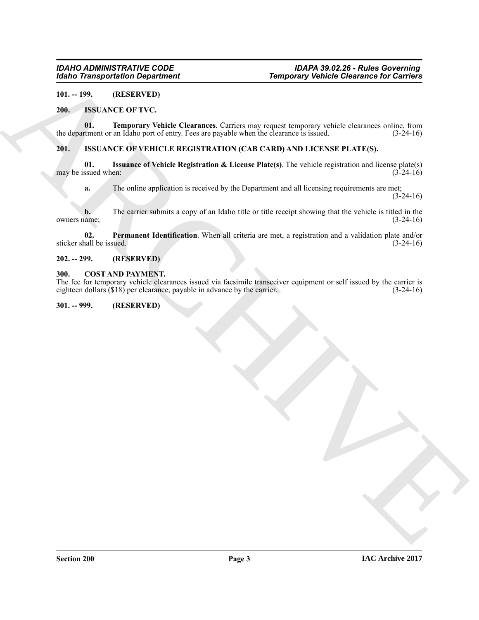#### <span id="page-2-0"></span>**101. -- 199. (RESERVED)**

#### <span id="page-2-8"></span><span id="page-2-7"></span><span id="page-2-1"></span>**200. ISSUANCE OF TVC.**

**01. Temporary Vehicle Clearances**. Carriers may request temporary vehicle clearances online, from thement or an Idaho port of entry. Fees are payable when the clearance is issued. (3-24-16) the department or an Idaho port of entry. Fees are payable when the clearance is issued.

#### <span id="page-2-9"></span><span id="page-2-2"></span>**201. ISSUANCE OF VEHICLE REGISTRATION (CAB CARD) AND LICENSE PLATE(S).**

**01. Issuance of Vehicle Registration & License Plate(s)**. The vehicle registration and license plate(s) may be issued when:

<span id="page-2-11"></span><span id="page-2-10"></span>**a.** The online application is received by the Department and all licensing requirements are met;  $(3-24-16)$ 

For Taiwa goal and Displace of the Character Cartering any equipment y vehicle Character for Carriers<br>
2011. The paperwood is a state of the Character Cartering any equal temporary vehicle character solids, from<br>
2016. Th **b.** The carrier submits a copy of an Idaho title or title receipt showing that the vehicle is titled in the iame; (3-24-16) owners name;

**02.** Permanent Identification. When all criteria are met, a registration and a validation plate and/or rall be issued. (3-24-16) sticker shall be issued.

#### <span id="page-2-3"></span>**202. -- 299. (RESERVED)**

#### <span id="page-2-6"></span><span id="page-2-4"></span>**300. COST AND PAYMENT.**

The fee for temporary vehicle clearances issued via facsimile transceiver equipment or self issued by the carrier is eighteen dollars  $(1818)$  per clearance, payable in advance by the carrier. eighteen dollars  $(\$18)$  per clearance, payable in advance by the carrier.

#### <span id="page-2-5"></span>**301. -- 999. (RESERVED)**